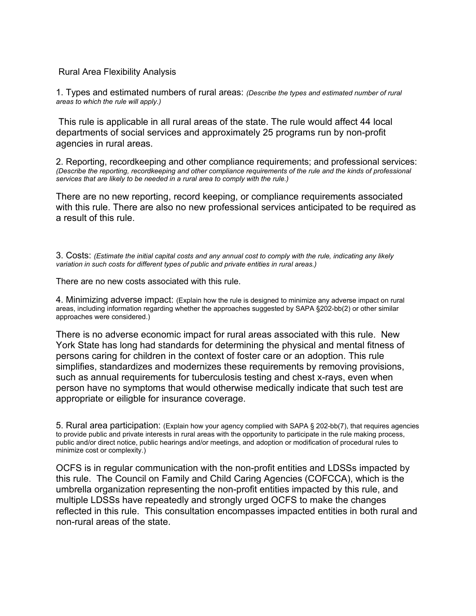## Rural Area Flexibility Analysis

1. Types and estimated numbers of rural areas: *(Describe the types and estimated number of rural areas to which the rule will apply.)* 

This rule is applicable in all rural areas of the state. The rule would affect 44 local departments of social services and approximately 25 programs run by non-profit agencies in rural areas.

2. Reporting, recordkeeping and other compliance requirements; and professional services: *(Describe the reporting, recordkeeping and other compliance requirements of the rule and the kinds of professional services that are likely to be needed in a rural area to comply with the rule.)* 

There are no new reporting, record keeping, or compliance requirements associated with this rule. There are also no new professional services anticipated to be required as a result of this rule.

3. Costs: *(Estimate the initial capital costs and any annual cost to comply with the rule, indicating any likely variation in such costs for different types of public and private entities in rural areas.)* 

There are no new costs associated with this rule.

4. Minimizing adverse impact: (Explain how the rule is designed to minimize any adverse impact on rural areas, including information regarding whether the approaches suggested by SAPA §202-bb(2) or other similar approaches were considered.)

There is no adverse economic impact for rural areas associated with this rule. New York State has long had standards for determining the physical and mental fitness of persons caring for children in the context of foster care or an adoption. This rule simplifies, standardizes and modernizes these requirements by removing provisions, such as annual requirements for tuberculosis testing and chest x-rays, even when person have no symptoms that would otherwise medically indicate that such test are appropriate or eiligble for insurance coverage.

5. Rural area participation: (Explain how your agency complied with SAPA § 202-bb(7), that requires agencies to provide public and private interests in rural areas with the opportunity to participate in the rule making process, public and/or direct notice, public hearings and/or meetings, and adoption or modification of procedural rules to minimize cost or complexity.)

OCFS is in regular communication with the non-profit entities and LDSSs impacted by this rule. The Council on Family and Child Caring Agencies (COFCCA), which is the umbrella organization representing the non-profit entities impacted by this rule, and multiple LDSSs have repeatedly and strongly urged OCFS to make the changes reflected in this rule. This consultation encompasses impacted entities in both rural and non-rural areas of the state.